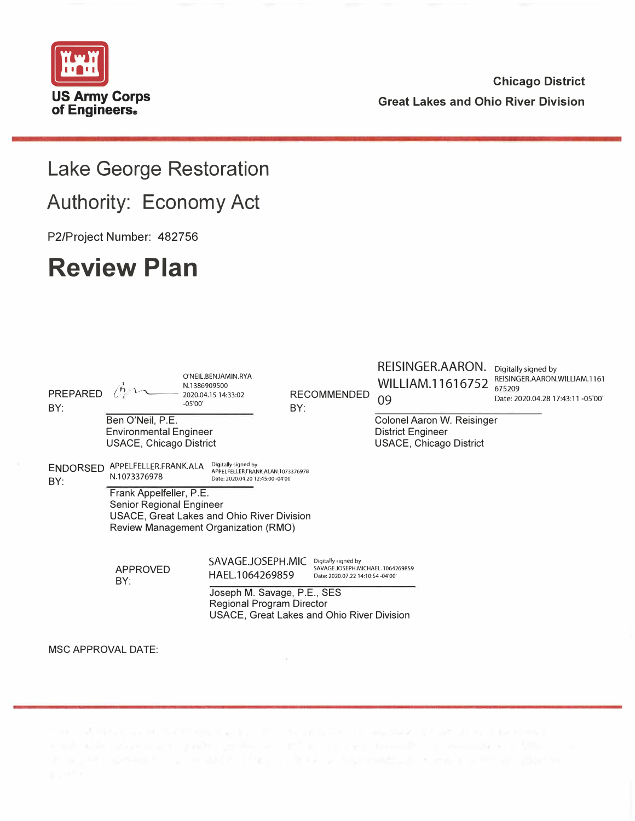

### **Chicago District Great Lakes and Ohio River Division**

## **Lake George Restoration**

**Authority: Economy Act** 

P2/Project Number: 482756

# **Review Plan**

| <b>PREPARED</b><br>BY:    |                                                                                                                                           | O'NEIL.BENJAMIN.RYA<br>N.1386909500<br>2020.04.15 14:33:02<br>$-05'00'$                       | <b>RECOMMENDED</b><br>BY:                                                                     | REISINGER.AARON.<br>WILLIAM.11616752<br>09                                               | Digitally signed by<br>REISINGER.AARON.WILLIAM.1161<br>675209<br>Date: 2020.04.28 17:43:11 -05'00' |  |  |  |
|---------------------------|-------------------------------------------------------------------------------------------------------------------------------------------|-----------------------------------------------------------------------------------------------|-----------------------------------------------------------------------------------------------|------------------------------------------------------------------------------------------|----------------------------------------------------------------------------------------------------|--|--|--|
|                           | Ben O'Neil, P.E.<br><b>Environmental Engineer</b><br><b>USACE, Chicago District</b>                                                       |                                                                                               |                                                                                               | Colonel Aaron W. Reisinger<br><b>District Engineer</b><br><b>USACE, Chicago District</b> |                                                                                                    |  |  |  |
| <b>ENDORSED</b><br>BY:    | APPELFELLER.FRANK.ALA<br>N.1073376978                                                                                                     | Digitally signed by<br>APPELFELLER.FRANK.ALAN.1073376978<br>Date: 2020.04.20 12:45:00 -04'00' |                                                                                               |                                                                                          |                                                                                                    |  |  |  |
|                           | Frank Appelfeller, P.E.<br>Senior Regional Engineer<br>USACE, Great Lakes and Ohio River Division<br>Review Management Organization (RMO) |                                                                                               |                                                                                               |                                                                                          |                                                                                                    |  |  |  |
|                           | APPROVED<br>BY:                                                                                                                           | SAVAGE.JOSEPH.MIC<br>HAEL.1064269859                                                          | Digitally signed by<br>SAVAGE JOSEPH.MICHAEL. 1064269859<br>Date: 2020.07.22 14:10:54 -04'00' |                                                                                          |                                                                                                    |  |  |  |
|                           |                                                                                                                                           | Joseph M. Savage, P.E., SES<br>Regional Program Director                                      | USACE, Great Lakes and Ohio River Division                                                    |                                                                                          |                                                                                                    |  |  |  |
| <b>MSC APPROVAL DATE:</b> |                                                                                                                                           |                                                                                               |                                                                                               |                                                                                          |                                                                                                    |  |  |  |

3) and the process for the projected of the contribution of the second control of the control of the control of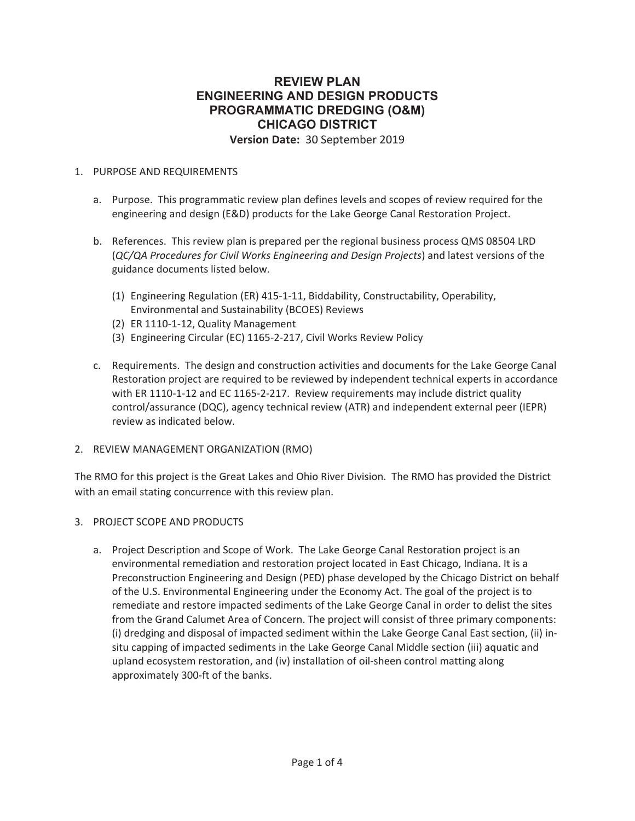#### **REVIEW PLAN ENGINEERING AND DESIGN PRODUCTS PROGRAMMATIC DREDGING (O&M) CHICAGO DISTRICT Version Date:** 30 September 2019

#### 1. PURPOSE AND REQUIREMENTS

- a. Purpose. This programmatic review plan defines levels and scopes of review required for the engineering and design (E&D) products for the Lake George Canal Restoration Project.
- b. References. This review plan is prepared per the regional business process QMS 08504 LRD (*QC/QA Procedures for Civil Works Engineering and Design Projects*) and latest versions of the guidance documents listed below.
	- (1) Engineering Regulation (ER) 415-1-11, Biddability, Constructability, Operability, Environmental and Sustainability (BCOES) Reviews
	- (2) ER 1110-1-12, Quality Management
	- (3) Engineering Circular (EC) 1165-2-217, Civil Works Review Policy
- c. Requirements. The design and construction activities and documents for the Lake George Canal Restoration project are required to be reviewed by independent technical experts in accordance with ER 1110-1-12 and EC 1165-2-217. Review requirements may include district quality control/assurance (DQC), agency technical review (ATR) and independent external peer (IEPR) review as indicated below.
- 2. REVIEW MANAGEMENT ORGANIZATION (RMO)

The RMO for this project is the Great Lakes and Ohio River Division. The RMO has provided the District with an email stating concurrence with this review plan.

#### 3. PROJECT SCOPE AND PRODUCTS

a. Project Description and Scope of Work. The Lake George Canal Restoration project is an environmental remediation and restoration project located in East Chicago, Indiana. It is a Preconstruction Engineering and Design (PED) phase developed by the Chicago District on behalf of the U.S. Environmental Engineering under the Economy Act. The goal of the project is to remediate and restore impacted sediments of the Lake George Canal in order to delist the sites from the Grand Calumet Area of Concern. The project will consist of three primary components: (i) dredging and disposal of impacted sediment within the Lake George Canal East section, (ii) insitu capping of impacted sediments in the Lake George Canal Middle section (iii) aquatic and upland ecosystem restoration, and (iv) installation of oil-sheen control matting along approximately 300-ft of the banks.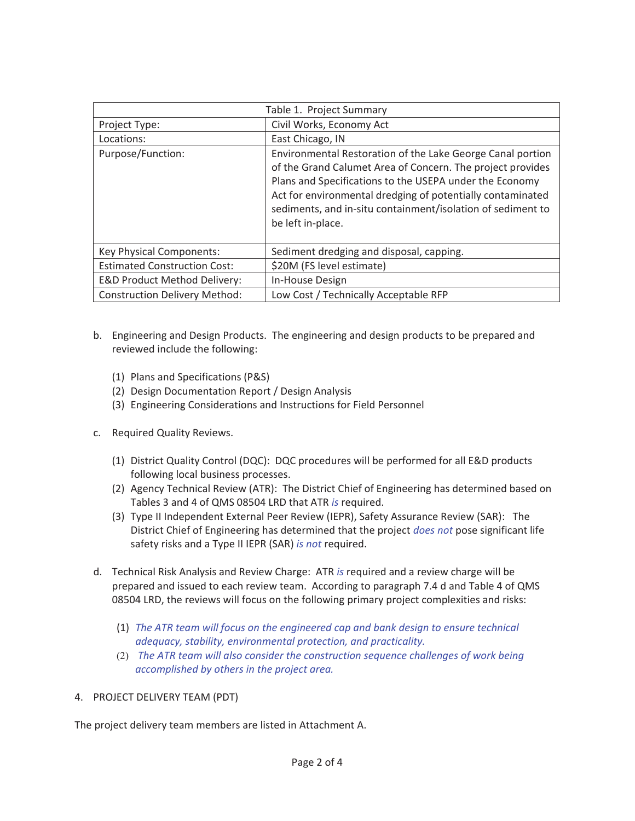| Table 1. Project Summary                |                                                                                                                                                                                                                                                                                                                                       |  |  |  |
|-----------------------------------------|---------------------------------------------------------------------------------------------------------------------------------------------------------------------------------------------------------------------------------------------------------------------------------------------------------------------------------------|--|--|--|
| Project Type:                           | Civil Works, Economy Act                                                                                                                                                                                                                                                                                                              |  |  |  |
| Locations:                              | East Chicago, IN                                                                                                                                                                                                                                                                                                                      |  |  |  |
| Purpose/Function:                       | Environmental Restoration of the Lake George Canal portion<br>of the Grand Calumet Area of Concern. The project provides<br>Plans and Specifications to the USEPA under the Economy<br>Act for environmental dredging of potentially contaminated<br>sediments, and in-situ containment/isolation of sediment to<br>be left in-place. |  |  |  |
| Key Physical Components:                | Sediment dredging and disposal, capping.                                                                                                                                                                                                                                                                                              |  |  |  |
| <b>Estimated Construction Cost:</b>     | \$20M (FS level estimate)                                                                                                                                                                                                                                                                                                             |  |  |  |
| <b>E&amp;D Product Method Delivery:</b> | In-House Design                                                                                                                                                                                                                                                                                                                       |  |  |  |
| <b>Construction Delivery Method:</b>    | Low Cost / Technically Acceptable RFP                                                                                                                                                                                                                                                                                                 |  |  |  |

- b. Engineering and Design Products. The engineering and design products to be prepared and reviewed include the following:
	- (1) Plans and Specifications (P&S)
	- (2) Design Documentation Report / Design Analysis
	- (3) Engineering Considerations and Instructions for Field Personnel
- c. Required Quality Reviews.
	- (1) District Quality Control (DQC): DQC procedures will be performed for all E&D products following local business processes.
	- (2) Agency Technical Review (ATR): The District Chief of Engineering has determined based on Tables 3 and 4 of QMS 08504 LRD that ATR *is* required.
	- (3) Type II Independent External Peer Review (IEPR), Safety Assurance Review (SAR): The District Chief of Engineering has determined that the project *does not* pose significant life safety risks and a Type II IEPR (SAR) *is not* required.
- d. Technical Risk Analysis and Review Charge: ATR *is* required and a review charge will be prepared and issued to each review team. According to paragraph 7.4 d and Table 4 of QMS 08504 LRD, the reviews will focus on the following primary project complexities and risks:
	- (1) *The ATR team will focus on the engineered cap and bank design to ensure technical adequacy, stability, environmental protection, and practicality.*
	- (2) *The ATR team will also consider the construction sequence challenges of work being accomplished by others in the project area.*
- 4. PROJECT DELIVERY TEAM (PDT)

The project delivery team members are listed in Attachment A.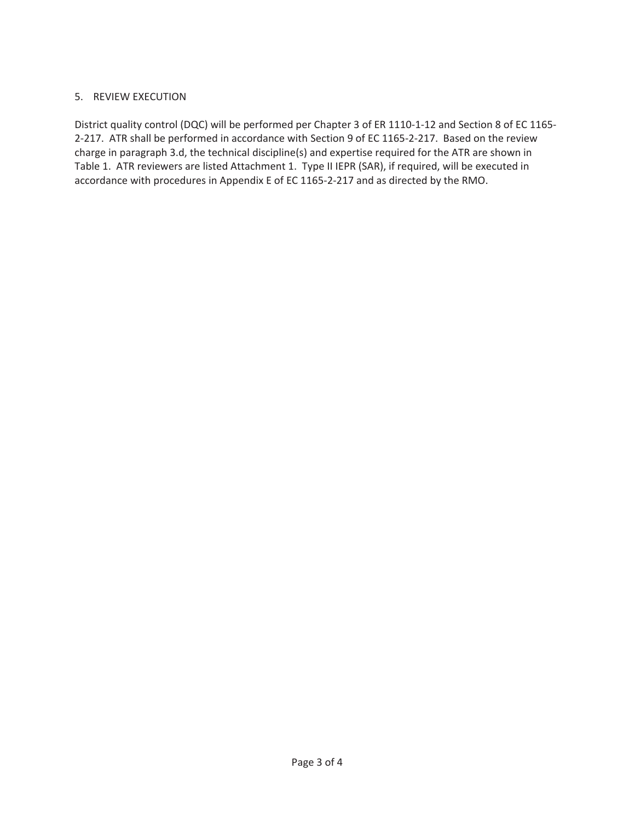#### 5. REVIEW EXECUTION

District quality control (DQC) will be performed per Chapter 3 of ER 1110-1-12 and Section 8 of EC 1165- 2-217. ATR shall be performed in accordance with Section 9 of EC 1165-2-217. Based on the review charge in paragraph 3.d, the technical discipline(s) and expertise required for the ATR are shown in Table 1. ATR reviewers are listed Attachment 1. Type II IEPR (SAR), if required, will be executed in accordance with procedures in Appendix E of EC 1165-2-217 and as directed by the RMO.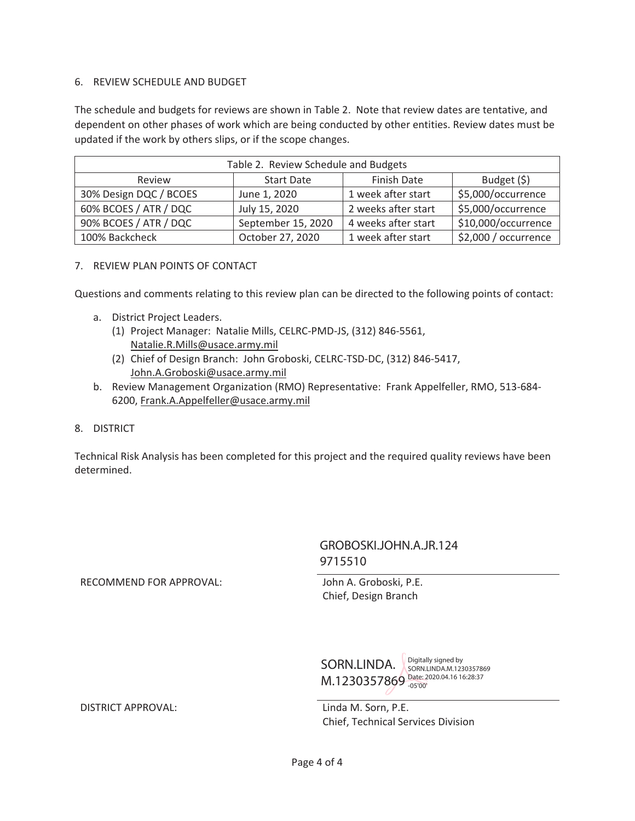#### 6. REVIEW SCHEDULE AND BUDGET

The schedule and budgets for reviews are shown in Table 2. Note that review dates are tentative, and dependent on other phases of work which are being conducted by other entities. Review dates must be updated if the work by others slips, or if the scope changes.

| Table 2. Review Schedule and Budgets |                    |                     |                      |  |  |  |
|--------------------------------------|--------------------|---------------------|----------------------|--|--|--|
| Review                               | <b>Start Date</b>  | <b>Finish Date</b>  | Budget $(5)$         |  |  |  |
| 30% Design DQC / BCOES               | June 1, 2020       | 1 week after start  | \$5,000/occurrence   |  |  |  |
| 60% BCOES / ATR / DQC                | July 15, 2020      | 2 weeks after start | \$5,000/occurrence   |  |  |  |
| 90% BCOES / ATR / DQC                | September 15, 2020 | 4 weeks after start | \$10,000/occurrence  |  |  |  |
| 100% Backcheck                       | October 27, 2020   | 1 week after start  | \$2,000 / occurrence |  |  |  |

#### 7. REVIEW PLAN POINTS OF CONTACT

Questions and comments relating to this review plan can be directed to the following points of contact:

- a. District Project Leaders.
	- (1) Project Manager: Natalie Mills, CELRC-PMD-JS, (312) 846-5561, Natalie.R.Mills@usace.army.mil
	- (2) Chief of Design Branch: John Groboski, CELRC-TSD-DC, (312) 846-5417, John.A.Groboski@usace.army.mil
- b. Review Management Organization (RMO) Representative: Frank Appelfeller, RMO, 513-684- 6200, Frank.A.Appelfeller@usace.army.mil
- 8. DISTRICT

Technical Risk Analysis has been completed for this project and the required quality reviews have been determined.

#### GROBOSKI.JOHN.A.JR.124 9715510

RECOMMEND FOR APPROVAL: John A. Groboski, P.E.

Chief, Design Branch

SORN.LINDA. SORN.LINDA.M.123 M.1230357869 Date: 2020.04.16 16:28:37 SORN.LINDA.M.1230357869 -05'00'

Chief, Technical Services Division

DISTRICT APPROVAL: Linda M. Sorn, P.E.